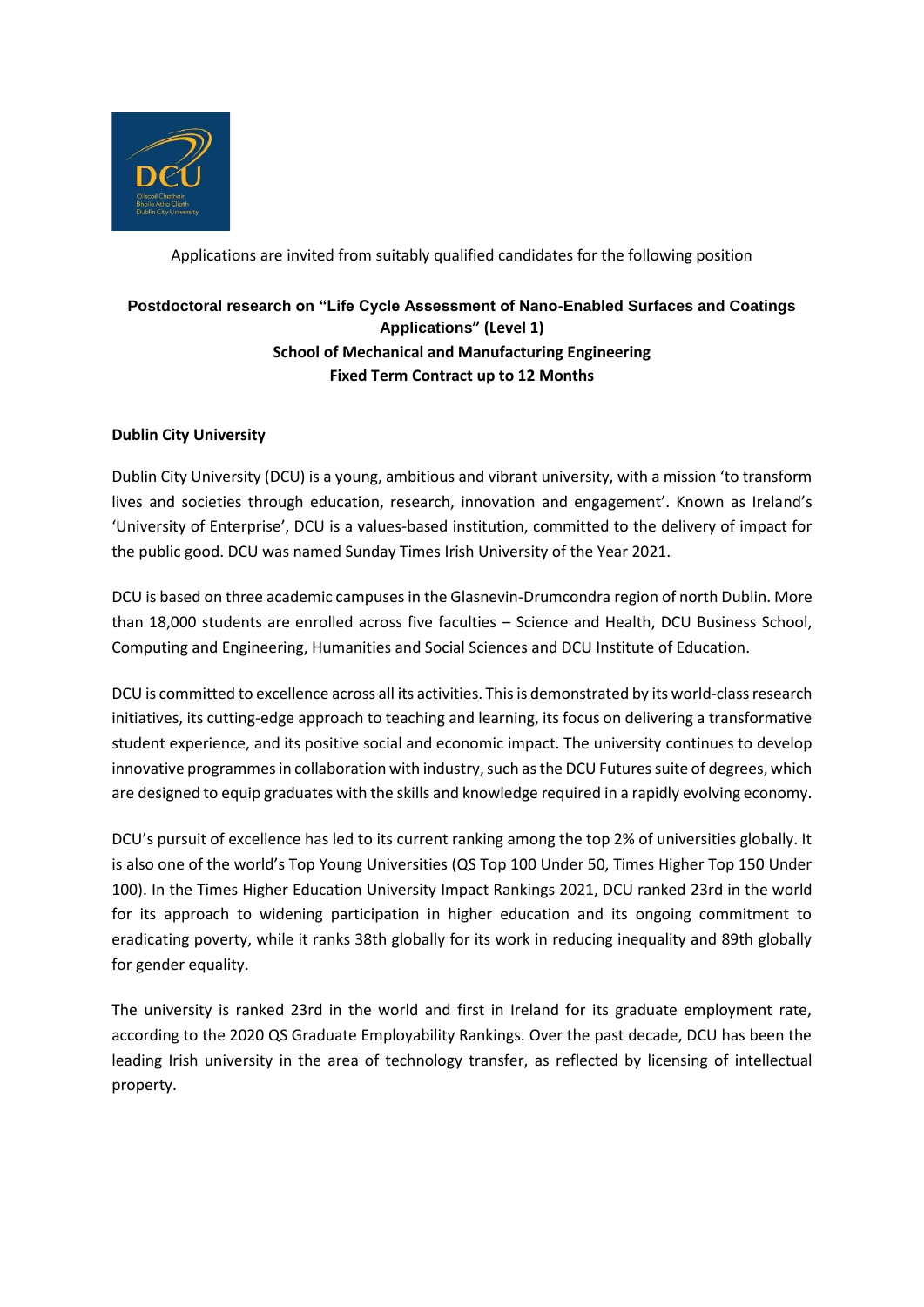

Applications are invited from suitably qualified candidates for the following position

# **Postdoctoral research on "Life Cycle Assessment of Nano-Enabled Surfaces and Coatings Applications" (Level 1) School of Mechanical and Manufacturing Engineering Fixed Term Contract up to 12 Months**

## **Dublin City University**

Dublin City University (DCU) is a young, ambitious and vibrant university, with a mission 'to transform lives and societies through education, research, innovation and engagement'. Known as Ireland's 'University of Enterprise', DCU is a values-based institution, committed to the delivery of impact for the public good. DCU was named Sunday Times Irish University of the Year 2021.

DCU is based on three academic campuses in the Glasnevin-Drumcondra region of north Dublin. More than 18,000 students are enrolled across five faculties – Science and Health, DCU Business School, Computing and Engineering, Humanities and Social Sciences and DCU Institute of Education.

DCU is committed to excellence across all its activities. This is demonstrated by its world-class research initiatives, its cutting-edge approach to teaching and learning, its focus on delivering a transformative student experience, and its positive social and economic impact. The university continues to develop innovative programmes in collaboration with industry, such as the DCU Futures suite of degrees, which are designed to equip graduates with the skills and knowledge required in a rapidly evolving economy.

DCU's pursuit of excellence has led to its current ranking among the top 2% of universities globally. It is also one of the world's Top Young Universities (QS Top 100 Under 50, Times Higher Top 150 Under 100). In the Times Higher Education University Impact Rankings 2021, DCU ranked 23rd in the world for its approach to widening participation in higher education and its ongoing commitment to eradicating poverty, while it ranks 38th globally for its work in reducing inequality and 89th globally for gender equality.

The university is ranked 23rd in the world and first in Ireland for its graduate employment rate, according to the 2020 QS Graduate Employability Rankings. Over the past decade, DCU has been the leading Irish university in the area of technology transfer, as reflected by licensing of intellectual property.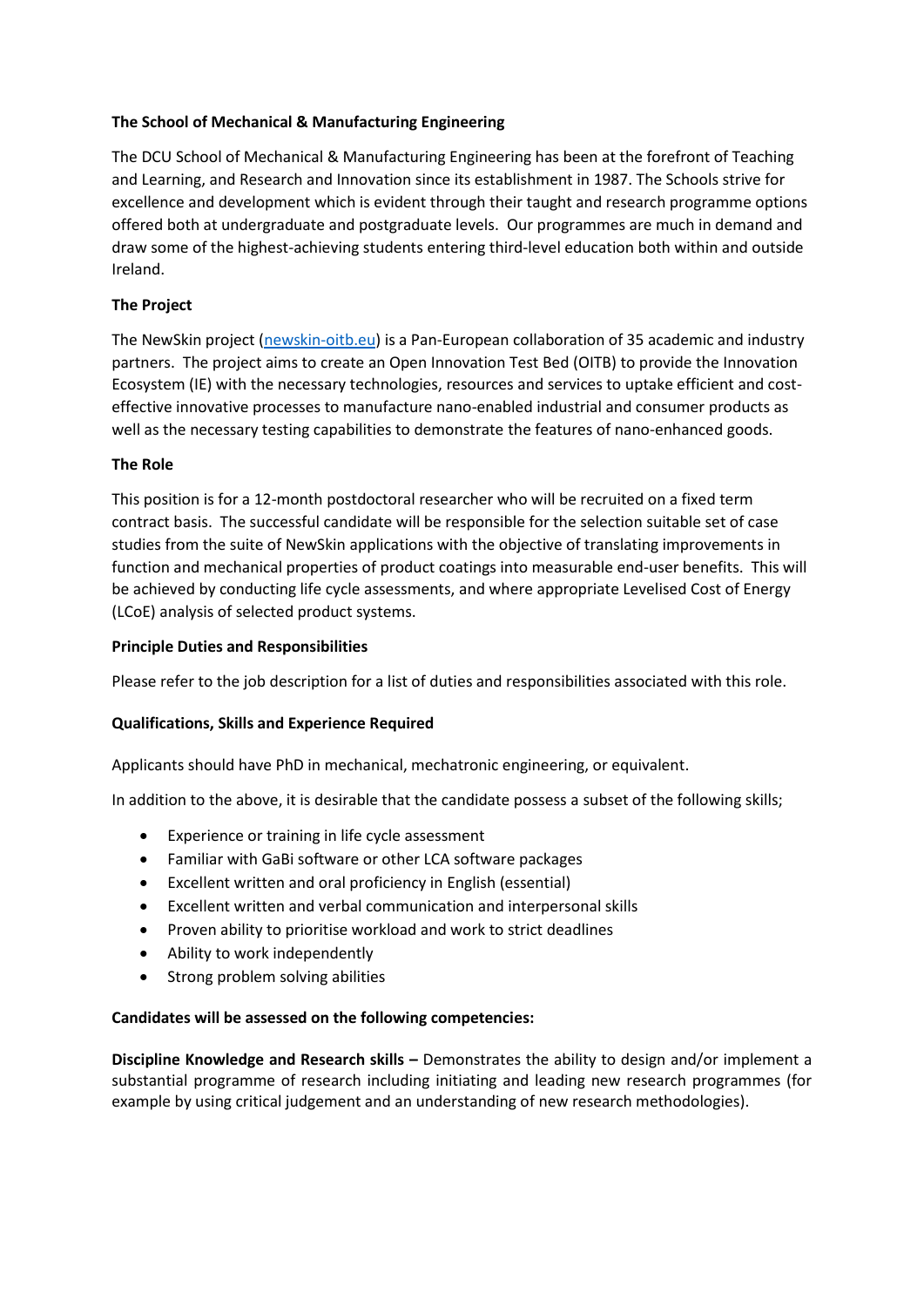## **The School of Mechanical & Manufacturing Engineering**

The DCU School of Mechanical & Manufacturing Engineering has been at the forefront of Teaching and Learning, and Research and Innovation since its establishment in 1987. The Schools strive for excellence and development which is evident through their taught and research programme options offered both at undergraduate and postgraduate levels. Our programmes are much in demand and draw some of the highest-achieving students entering third-level education both within and outside Ireland.

### **The Project**

The NewSkin project [\(newskin-oitb.eu\)](file:///C:/Users/flynnni/Downloads/newskin-oitb.eu) is a Pan-European collaboration of 35 academic and industry partners. The project aims to create an Open Innovation Test Bed (OITB) to provide the Innovation Ecosystem (IE) with the necessary technologies, resources and services to uptake efficient and costeffective innovative processes to manufacture nano-enabled industrial and consumer products as well as the necessary testing capabilities to demonstrate the features of nano-enhanced goods.

#### **The Role**

This position is for a 12-month postdoctoral researcher who will be recruited on a fixed term contract basis. The successful candidate will be responsible for the selection suitable set of case studies from the suite of NewSkin applications with the objective of translating improvements in function and mechanical properties of product coatings into measurable end-user benefits. This will be achieved by conducting life cycle assessments, and where appropriate Levelised Cost of Energy (LCoE) analysis of selected product systems.

#### **Principle Duties and Responsibilities**

Please refer to the job description for a list of duties and responsibilities associated with this role.

#### **Qualifications, Skills and Experience Required**

Applicants should have PhD in mechanical, mechatronic engineering, or equivalent.

In addition to the above, it is desirable that the candidate possess a subset of the following skills;

- Experience or training in life cycle assessment
- Familiar with GaBi software or other LCA software packages
- Excellent written and oral proficiency in English (essential)
- Excellent written and verbal communication and interpersonal skills
- Proven ability to prioritise workload and work to strict deadlines
- Ability to work independently
- Strong problem solving abilities

#### **Candidates will be assessed on the following competencies:**

**Discipline Knowledge and Research skills –** Demonstrates the ability to design and/or implement a substantial programme of research including initiating and leading new research programmes (for example by using critical judgement and an understanding of new research methodologies).